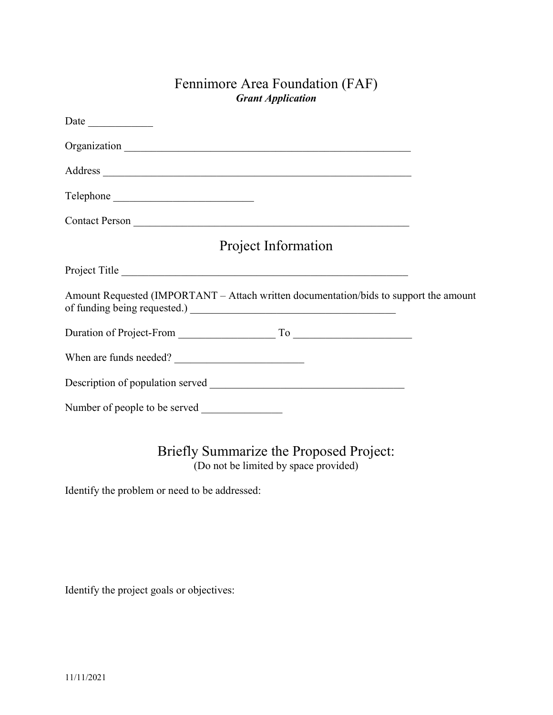## Fennimore Area Foundation (FAF) Grant Application

| Date $\frac{1}{\sqrt{1-\frac{1}{2}}\cdot\frac{1}{\sqrt{1-\frac{1}{2}}}}$              |  |
|---------------------------------------------------------------------------------------|--|
|                                                                                       |  |
|                                                                                       |  |
|                                                                                       |  |
|                                                                                       |  |
| Project Information                                                                   |  |
|                                                                                       |  |
| Amount Requested (IMPORTANT - Attach written documentation/bids to support the amount |  |
|                                                                                       |  |
|                                                                                       |  |
|                                                                                       |  |
| Number of people to be served                                                         |  |

Briefly Summarize the Proposed Project: (Do not be limited by space provided)

Identify the problem or need to be addressed:

Identify the project goals or objectives: